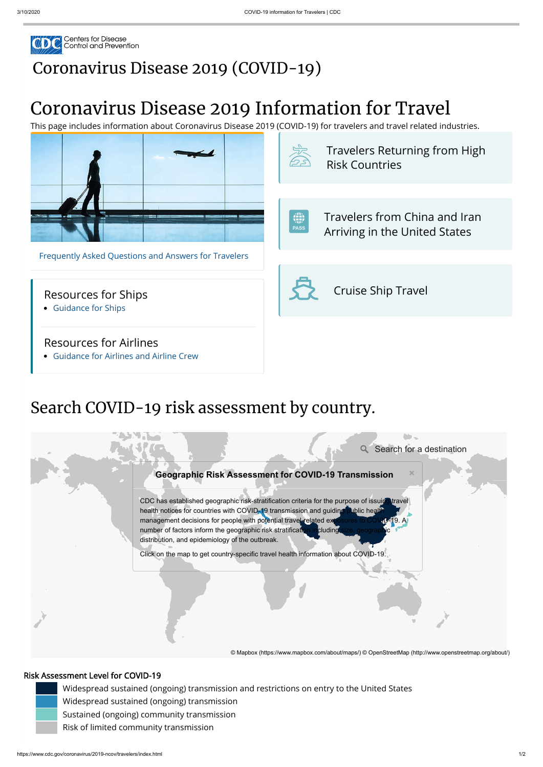

## [Coronavirus](https://www.cdc.gov/coronavirus/2019-nCoV/index.html) Disease 2019 (COVID-19)

# Coronavirus Disease 2019 Information for Travel

This page includes information about Coronavirus Disease 2019 (COVID-19) for travelers and travel related industries.

 $\bigoplus_{\text{pass}}$  [Travelers](https://www.cdc.gov/coronavirus/2019-ncov/travelers/from-other-countries.html) from China and Iran Arriving in the United States





[Guidance for Ships](https://www.cdc.gov/quarantine/maritime/index.html)

#### Resources for Airlines

[Guidance for Airlines and Airline Crew](https://www.cdc.gov/quarantine/air/managing-sick-travelers/ncov-airlines.html)

 Travelers Returning from High [Risk Countries](https://www.cdc.gov/coronavirus/2019-ncov/travelers/after-travel-precautions.html)

Cruise Ship Travel

## Search COVID-19 risk assessment by country.

**Q** Search for a destination

#### **Geographic Risk Assessment for COVID-19 Transmission**

#### Risk Assessment Level for COVID-19

CDC has established geographic risk-stratification criteria for the purpose of issuing health notices for countries with COVID-19 transmission and guiding public health management decisions for people with potential travel-related ex number of factors inform the geographic risk stratification including distribution, and epidemiology of the outbreak.

 Widespread sustained (ongoing) transmission and restrictions on entry to the United States Widespread sustained (ongoing) transmission Sustained (ongoing) community transmission Risk of limited community transmission



Click on the map to get country-specific travel health information about COVID-19.